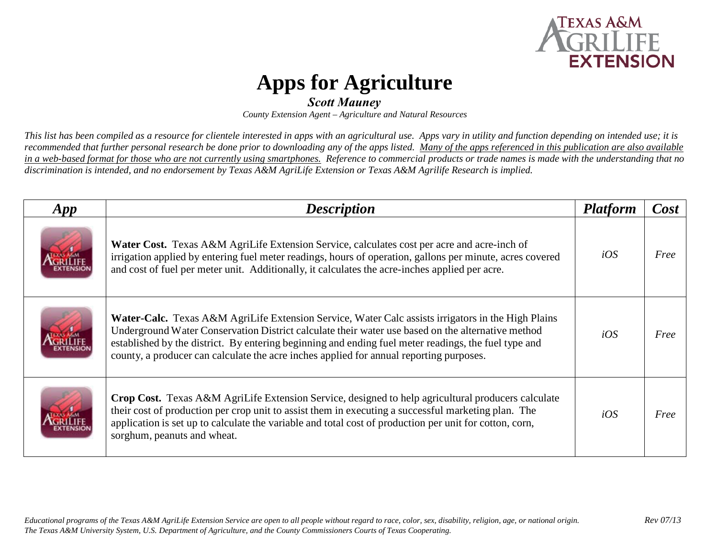

## **Apps for Agriculture**

## *Scott Mauney*

*County Extension Agent – Agriculture and Natural Resources* 

*This list has been compiled as a resource for clientele interested in apps with an agricultural use. Apps vary in utility and function depending on intended use; it is recommended that further personal research be done prior to downloading any of the apps listed. Many of the apps referenced in this publication are also available in a web-based format for those who are not currently using smartphones. Reference to commercial products or trade names is made with the understanding that no discrimination is intended, and no endorsement by Texas A&M AgriLife Extension or Texas A&M Agrilife Research is implied.* 

| App | <b>Description</b>                                                                                                                                                                                                                                                                                                                                                                                                | <b>Platform</b> | Cost |
|-----|-------------------------------------------------------------------------------------------------------------------------------------------------------------------------------------------------------------------------------------------------------------------------------------------------------------------------------------------------------------------------------------------------------------------|-----------------|------|
|     | <b>Water Cost.</b> Texas A&M AgriLife Extension Service, calculates cost per acre and acre-inch of<br>irrigation applied by entering fuel meter readings, hours of operation, gallons per minute, acres covered<br>and cost of fuel per meter unit. Additionally, it calculates the acre-inches applied per acre.                                                                                                 | iOS             | Free |
|     | <b>Water-Calc.</b> Texas A&M AgriLife Extension Service, Water Calc assists irrigators in the High Plains<br>Underground Water Conservation District calculate their water use based on the alternative method<br>established by the district. By entering beginning and ending fuel meter readings, the fuel type and<br>county, a producer can calculate the acre inches applied for annual reporting purposes. | iOS             | Free |
|     | <b>Crop Cost.</b> Texas A&M AgriLife Extension Service, designed to help agricultural producers calculate<br>their cost of production per crop unit to assist them in executing a successful marketing plan. The<br>application is set up to calculate the variable and total cost of production per unit for cotton, corn,<br>sorghum, peanuts and wheat.                                                        | iOS             | Free |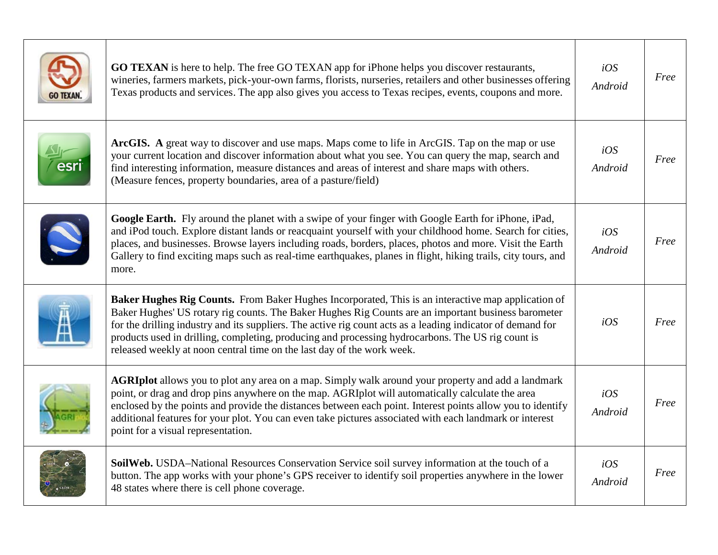|     | <b>GO TEXAN</b> is here to help. The free GO TEXAN app for iPhone helps you discover restaurants,<br>wineries, farmers markets, pick-your-own farms, florists, nurseries, retailers and other businesses offering<br>Texas products and services. The app also gives you access to Texas recipes, events, coupons and more.                                                                                                                                                                             | iOS<br>Android | Free |
|-----|---------------------------------------------------------------------------------------------------------------------------------------------------------------------------------------------------------------------------------------------------------------------------------------------------------------------------------------------------------------------------------------------------------------------------------------------------------------------------------------------------------|----------------|------|
| esr | ArcGIS. A great way to discover and use maps. Maps come to life in ArcGIS. Tap on the map or use<br>your current location and discover information about what you see. You can query the map, search and<br>find interesting information, measure distances and areas of interest and share maps with others.<br>(Measure fences, property boundaries, area of a pasture/field)                                                                                                                         | iOS<br>Android | Free |
|     | Google Earth. Fly around the planet with a swipe of your finger with Google Earth for iPhone, iPad,<br>and iPod touch. Explore distant lands or reacquaint yourself with your childhood home. Search for cities,<br>places, and businesses. Browse layers including roads, borders, places, photos and more. Visit the Earth<br>Gallery to find exciting maps such as real-time earthquakes, planes in flight, hiking trails, city tours, and<br>more.                                                  | iOS<br>Android | Free |
|     | Baker Hughes Rig Counts. From Baker Hughes Incorporated, This is an interactive map application of<br>Baker Hughes' US rotary rig counts. The Baker Hughes Rig Counts are an important business barometer<br>for the drilling industry and its suppliers. The active rig count acts as a leading indicator of demand for<br>products used in drilling, completing, producing and processing hydrocarbons. The US rig count is<br>released weekly at noon central time on the last day of the work week. | iOS            | Free |
|     | <b>AGRIplot</b> allows you to plot any area on a map. Simply walk around your property and add a landmark<br>point, or drag and drop pins anywhere on the map. AGRIplot will automatically calculate the area<br>enclosed by the points and provide the distances between each point. Interest points allow you to identify<br>additional features for your plot. You can even take pictures associated with each landmark or interest<br>point for a visual representation.                            | iOS<br>Android | Free |
|     | SoilWeb. USDA-National Resources Conservation Service soil survey information at the touch of a<br>button. The app works with your phone's GPS receiver to identify soil properties anywhere in the lower<br>48 states where there is cell phone coverage.                                                                                                                                                                                                                                              | iOS<br>Android | Free |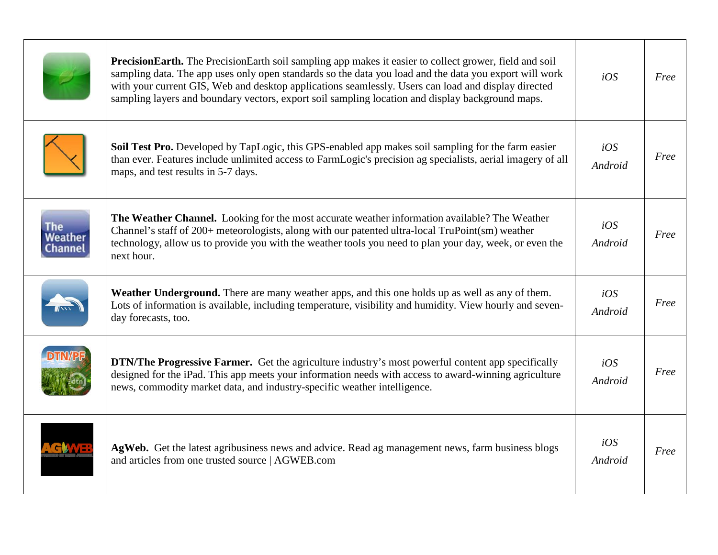|                        | <b>PrecisionEarth.</b> The PrecisionEarth soil sampling app makes it easier to collect grower, field and soil<br>sampling data. The app uses only open standards so the data you load and the data you export will work<br>with your current GIS, Web and desktop applications seamlessly. Users can load and display directed<br>sampling layers and boundary vectors, export soil sampling location and display background maps. | iOS            | Free |
|------------------------|------------------------------------------------------------------------------------------------------------------------------------------------------------------------------------------------------------------------------------------------------------------------------------------------------------------------------------------------------------------------------------------------------------------------------------|----------------|------|
|                        | Soil Test Pro. Developed by TapLogic, this GPS-enabled app makes soil sampling for the farm easier<br>than ever. Features include unlimited access to FarmLogic's precision ag specialists, aerial imagery of all<br>maps, and test results in 5-7 days.                                                                                                                                                                           | iOS<br>Android | Free |
| The<br>Veathe<br>hanne | <b>The Weather Channel.</b> Looking for the most accurate weather information available? The Weather<br>Channel's staff of 200+ meteorologists, along with our patented ultra-local TruPoint(sm) weather<br>technology, allow us to provide you with the weather tools you need to plan your day, week, or even the<br>next hour.                                                                                                  | iOS<br>Android | Free |
|                        | <b>Weather Underground.</b> There are many weather apps, and this one holds up as well as any of them.<br>Lots of information is available, including temperature, visibility and humidity. View hourly and seven-<br>day forecasts, too.                                                                                                                                                                                          | iOS<br>Android | Free |
|                        | <b>DTN/The Progressive Farmer.</b> Get the agriculture industry's most powerful content app specifically<br>designed for the iPad. This app meets your information needs with access to award-winning agriculture<br>news, commodity market data, and industry-specific weather intelligence.                                                                                                                                      | iOS<br>Android | Free |
|                        | AgWeb. Get the latest agribusiness news and advice. Read ag management news, farm business blogs<br>and articles from one trusted source   AGWEB.com                                                                                                                                                                                                                                                                               | iOS<br>Android | Free |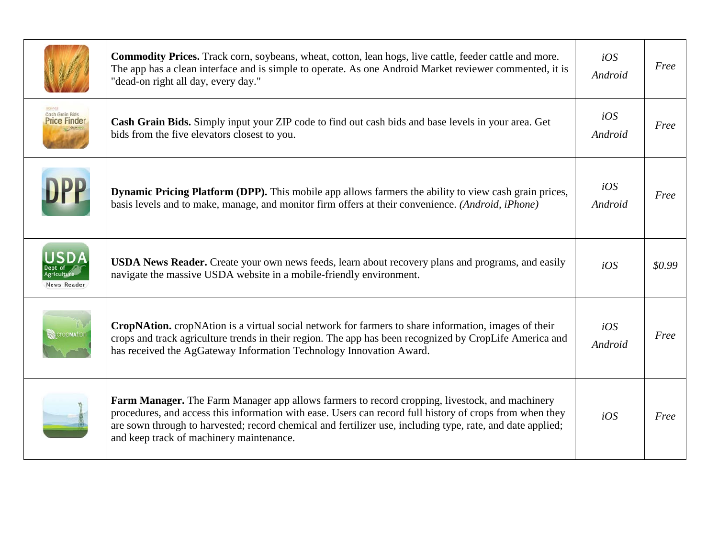|                                | <b>Commodity Prices.</b> Track corn, soybeans, wheat, cotton, lean hogs, live cattle, feeder cattle and more.<br>The app has a clean interface and is simple to operate. As one Android Market reviewer commented, it is<br>"dead-on right all day, every day."                                                                                                      | iOS<br>Android | Free   |
|--------------------------------|----------------------------------------------------------------------------------------------------------------------------------------------------------------------------------------------------------------------------------------------------------------------------------------------------------------------------------------------------------------------|----------------|--------|
| Cash Grain Bids<br>Price Finde | Cash Grain Bids. Simply input your ZIP code to find out cash bids and base levels in your area. Get<br>bids from the five elevators closest to you.                                                                                                                                                                                                                  | iOS<br>Android | Free   |
| DPP                            | <b>Dynamic Pricing Platform (DPP).</b> This mobile app allows farmers the ability to view cash grain prices,<br>basis levels and to make, manage, and monitor firm offers at their convenience. (Android, iPhone)                                                                                                                                                    | iOS<br>Android | Free   |
| News Reader                    | <b>USDA News Reader.</b> Create your own news feeds, learn about recovery plans and programs, and easily<br>navigate the massive USDA website in a mobile-friendly environment.                                                                                                                                                                                      | iOS            | \$0.99 |
|                                | CropNAtion. cropNAtion is a virtual social network for farmers to share information, images of their<br>crops and track agriculture trends in their region. The app has been recognized by CropLife America and<br>has received the AgGateway Information Technology Innovation Award.                                                                               | iOS<br>Android | Free   |
|                                | Farm Manager. The Farm Manager app allows farmers to record cropping, livestock, and machinery<br>procedures, and access this information with ease. Users can record full history of crops from when they<br>are sown through to harvested; record chemical and fertilizer use, including type, rate, and date applied;<br>and keep track of machinery maintenance. | iOS            | Free   |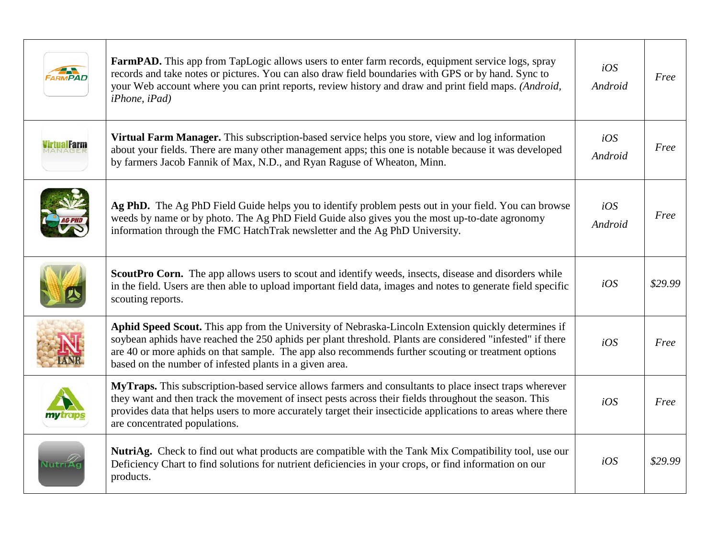|        | <b>FarmPAD.</b> This app from TapLogic allows users to enter farm records, equipment service logs, spray<br>records and take notes or pictures. You can also draw field boundaries with GPS or by hand. Sync to<br>your Web account where you can print reports, review history and draw and print field maps. (Android,<br>$iPhone$ , $iPad$ )                                    | iOS<br>Android | Free    |
|--------|------------------------------------------------------------------------------------------------------------------------------------------------------------------------------------------------------------------------------------------------------------------------------------------------------------------------------------------------------------------------------------|----------------|---------|
|        | Virtual Farm Manager. This subscription-based service helps you store, view and log information<br>about your fields. There are many other management apps; this one is notable because it was developed<br>by farmers Jacob Fannik of Max, N.D., and Ryan Raguse of Wheaton, Minn.                                                                                                | iOS<br>Android | Free    |
|        | Ag PhD. The Ag PhD Field Guide helps you to identify problem pests out in your field. You can browse<br>weeds by name or by photo. The Ag PhD Field Guide also gives you the most up-to-date agronomy<br>information through the FMC HatchTrak newsletter and the Ag PhD University.                                                                                               | iOS<br>Android | Free    |
|        | <b>ScoutPro Corn.</b> The app allows users to scout and identify weeds, insects, disease and disorders while<br>in the field. Users are then able to upload important field data, images and notes to generate field specific<br>scouting reports.                                                                                                                                 | iOS            | \$29.99 |
|        | Aphid Speed Scout. This app from the University of Nebraska-Lincoln Extension quickly determines if<br>soybean aphids have reached the 250 aphids per plant threshold. Plants are considered "infested" if there<br>are 40 or more aphids on that sample. The app also recommends further scouting or treatment options<br>based on the number of infested plants in a given area. | iOS            | Free    |
|        | MyTraps. This subscription-based service allows farmers and consultants to place insect traps wherever<br>they want and then track the movement of insect pests across their fields throughout the season. This<br>provides data that helps users to more accurately target their insecticide applications to areas where there<br>are concentrated populations.                   | iOS            | Free    |
| Nutri≠ | NutriAg. Check to find out what products are compatible with the Tank Mix Compatibility tool, use our<br>Deficiency Chart to find solutions for nutrient deficiencies in your crops, or find information on our<br>products.                                                                                                                                                       | iOS            | \$29.99 |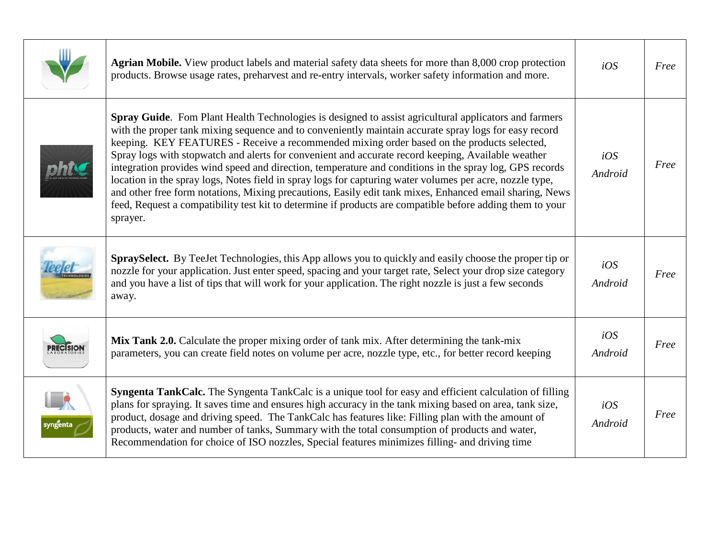|          | Agrian Mobile. View product labels and material safety data sheets for more than 8,000 crop protection<br>products. Browse usage rates, preharvest and re-entry intervals, worker safety information and more.                                                                                                                                                                                                                                                                                                                                                                                                                                                                                                                                                                                                                                                                | iOS            | Free |
|----------|-------------------------------------------------------------------------------------------------------------------------------------------------------------------------------------------------------------------------------------------------------------------------------------------------------------------------------------------------------------------------------------------------------------------------------------------------------------------------------------------------------------------------------------------------------------------------------------------------------------------------------------------------------------------------------------------------------------------------------------------------------------------------------------------------------------------------------------------------------------------------------|----------------|------|
|          | Spray Guide. Fom Plant Health Technologies is designed to assist agricultural applicators and farmers<br>with the proper tank mixing sequence and to conveniently maintain accurate spray logs for easy record<br>keeping. KEY FEATURES - Receive a recommended mixing order based on the products selected,<br>Spray logs with stopwatch and alerts for convenient and accurate record keeping, Available weather<br>integration provides wind speed and direction, temperature and conditions in the spray log, GPS records<br>location in the spray logs, Notes field in spray logs for capturing water volumes per acre, nozzle type,<br>and other free form notations, Mixing precautions, Easily edit tank mixes, Enhanced email sharing, News<br>feed, Request a compatibility test kit to determine if products are compatible before adding them to your<br>sprayer. | iOS<br>Android | Free |
|          | SpraySelect. By TeeJet Technologies, this App allows you to quickly and easily choose the proper tip or<br>nozzle for your application. Just enter speed, spacing and your target rate, Select your drop size category<br>and you have a list of tips that will work for your application. The right nozzle is just a few seconds<br>away.                                                                                                                                                                                                                                                                                                                                                                                                                                                                                                                                    | iOS<br>Android | Free |
|          | Mix Tank 2.0. Calculate the proper mixing order of tank mix. After determining the tank-mix<br>parameters, you can create field notes on volume per acre, nozzle type, etc., for better record keeping                                                                                                                                                                                                                                                                                                                                                                                                                                                                                                                                                                                                                                                                        | iOS<br>Android | Free |
| syngenta | <b>Syngenta TankCalc.</b> The Syngenta TankCalc is a unique tool for easy and efficient calculation of filling<br>plans for spraying. It saves time and ensures high accuracy in the tank mixing based on area, tank size,<br>product, dosage and driving speed. The TankCalc has features like: Filling plan with the amount of<br>products, water and number of tanks, Summary with the total consumption of products and water,<br>Recommendation for choice of ISO nozzles, Special features minimizes filling- and driving time                                                                                                                                                                                                                                                                                                                                          | iOS<br>Android | Free |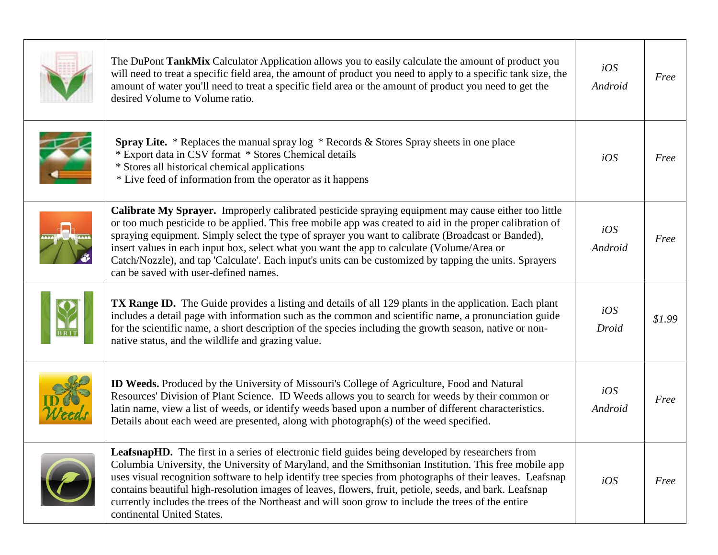| The DuPont TankMix Calculator Application allows you to easily calculate the amount of product you<br>will need to treat a specific field area, the amount of product you need to apply to a specific tank size, the<br>amount of water you'll need to treat a specific field area or the amount of product you need to get the<br>desired Volume to Volume ratio.                                                                                                                                                                                                             | iOS<br>Android | Free   |
|--------------------------------------------------------------------------------------------------------------------------------------------------------------------------------------------------------------------------------------------------------------------------------------------------------------------------------------------------------------------------------------------------------------------------------------------------------------------------------------------------------------------------------------------------------------------------------|----------------|--------|
| Spray Lite. * Replaces the manual spray log * Records & Stores Spray sheets in one place<br>* Export data in CSV format * Stores Chemical details<br>* Stores all historical chemical applications<br>* Live feed of information from the operator as it happens                                                                                                                                                                                                                                                                                                               | iOS            | Free   |
| Calibrate My Sprayer. Improperly calibrated pesticide spraying equipment may cause either too little<br>or too much pesticide to be applied. This free mobile app was created to aid in the proper calibration of<br>spraying equipment. Simply select the type of sprayer you want to calibrate (Broadcast or Banded),<br>insert values in each input box, select what you want the app to calculate (Volume/Area or<br>Catch/Nozzle), and tap 'Calculate'. Each input's units can be customized by tapping the units. Sprayers<br>can be saved with user-defined names.      | iOS<br>Android | Free   |
| <b>TX Range ID.</b> The Guide provides a listing and details of all 129 plants in the application. Each plant<br>includes a detail page with information such as the common and scientific name, a pronunciation guide<br>for the scientific name, a short description of the species including the growth season, native or non-<br>native status, and the wildlife and grazing value.                                                                                                                                                                                        | iOS<br>Droid   | \$1.99 |
| <b>ID Weeds.</b> Produced by the University of Missouri's College of Agriculture, Food and Natural<br>Resources' Division of Plant Science. ID Weeds allows you to search for weeds by their common or<br>latin name, view a list of weeds, or identify weeds based upon a number of different characteristics.<br>Details about each weed are presented, along with photograph(s) of the weed specified.                                                                                                                                                                      | iOS<br>Android | Free   |
| <b>LeafsnapHD.</b> The first in a series of electronic field guides being developed by researchers from<br>Columbia University, the University of Maryland, and the Smithsonian Institution. This free mobile app<br>uses visual recognition software to help identify tree species from photographs of their leaves. Leafsnap<br>contains beautiful high-resolution images of leaves, flowers, fruit, petiole, seeds, and bark. Leafsnap<br>currently includes the trees of the Northeast and will soon grow to include the trees of the entire<br>continental United States. | iOS            | Free   |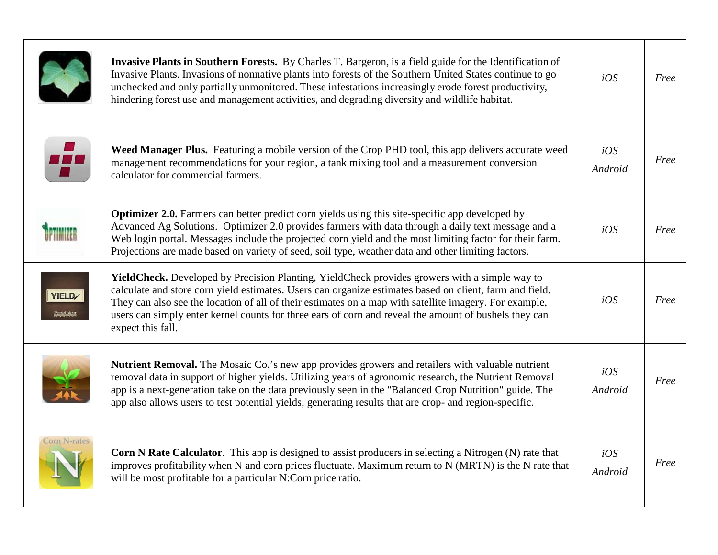|              | Invasive Plants in Southern Forests. By Charles T. Bargeron, is a field guide for the Identification of<br>Invasive Plants. Invasions of nonnative plants into forests of the Southern United States continue to go<br>unchecked and only partially unmonitored. These infestations increasingly erode forest productivity,<br>hindering forest use and management activities, and degrading diversity and wildlife habitat.                       | iOS            | Free |
|--------------|----------------------------------------------------------------------------------------------------------------------------------------------------------------------------------------------------------------------------------------------------------------------------------------------------------------------------------------------------------------------------------------------------------------------------------------------------|----------------|------|
|              | Weed Manager Plus. Featuring a mobile version of the Crop PHD tool, this app delivers accurate weed<br>management recommendations for your region, a tank mixing tool and a measurement conversion<br>calculator for commercial farmers.                                                                                                                                                                                                           | iOS<br>Android | Free |
|              | <b>Optimizer 2.0.</b> Farmers can better predict corn yields using this site-specific app developed by<br>Advanced Ag Solutions. Optimizer 2.0 provides farmers with data through a daily text message and a<br>Web login portal. Messages include the projected corn yield and the most limiting factor for their farm.<br>Projections are made based on variety of seed, soil type, weather data and other limiting factors.                     | iOS            | Free |
| <b>YIELD</b> | Yield Check. Developed by Precision Planting, Yield Check provides growers with a simple way to<br>calculate and store corn yield estimates. Users can organize estimates based on client, farm and field.<br>They can also see the location of all of their estimates on a map with satellite imagery. For example,<br>users can simply enter kernel counts for three ears of corn and reveal the amount of bushels they can<br>expect this fall. | iOS            | Free |
|              | Nutrient Removal. The Mosaic Co.'s new app provides growers and retailers with valuable nutrient<br>removal data in support of higher yields. Utilizing years of agronomic research, the Nutrient Removal<br>app is a next-generation take on the data previously seen in the "Balanced Crop Nutrition" guide. The<br>app also allows users to test potential yields, generating results that are crop- and region-specific.                       | iOS<br>Android | Free |
| Corn N-rates | <b>Corn N Rate Calculator.</b> This app is designed to assist producers in selecting a Nitrogen (N) rate that<br>improves profitability when N and corn prices fluctuate. Maximum return to N (MRTN) is the N rate that<br>will be most profitable for a particular N:Corn price ratio.                                                                                                                                                            | iOS<br>Android | Free |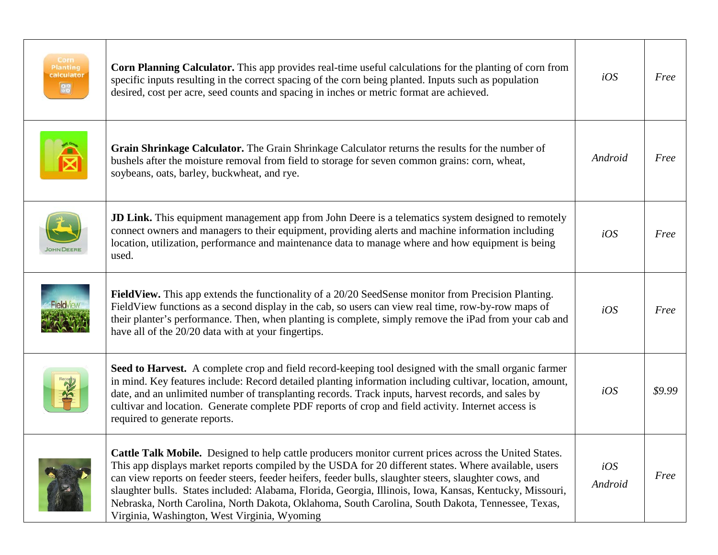| Corn<br><b>Planting</b><br>calculator<br>88 | <b>Corn Planning Calculator.</b> This app provides real-time useful calculations for the planting of corn from<br>specific inputs resulting in the correct spacing of the corn being planted. Inputs such as population<br>desired, cost per acre, seed counts and spacing in inches or metric format are achieved.                                                                                                                                                                                                                                                                        | iOS            | Free   |
|---------------------------------------------|--------------------------------------------------------------------------------------------------------------------------------------------------------------------------------------------------------------------------------------------------------------------------------------------------------------------------------------------------------------------------------------------------------------------------------------------------------------------------------------------------------------------------------------------------------------------------------------------|----------------|--------|
|                                             | Grain Shrinkage Calculator. The Grain Shrinkage Calculator returns the results for the number of<br>bushels after the moisture removal from field to storage for seven common grains: corn, wheat,<br>soybeans, oats, barley, buckwheat, and rye.                                                                                                                                                                                                                                                                                                                                          | Android        | Free   |
|                                             | <b>JD Link.</b> This equipment management app from John Deere is a telematics system designed to remotely<br>connect owners and managers to their equipment, providing alerts and machine information including<br>location, utilization, performance and maintenance data to manage where and how equipment is being<br>used.                                                                                                                                                                                                                                                             | iOS            | Free   |
|                                             | Field View. This app extends the functionality of a 20/20 Seed Sense monitor from Precision Planting.<br>Field View functions as a second display in the cab, so users can view real time, row-by-row maps of<br>their planter's performance. Then, when planting is complete, simply remove the iPad from your cab and<br>have all of the 20/20 data with at your fingertips.                                                                                                                                                                                                             | iOS            | Free   |
|                                             | Seed to Harvest. A complete crop and field record-keeping tool designed with the small organic farmer<br>in mind. Key features include: Record detailed planting information including cultivar, location, amount,<br>date, and an unlimited number of transplanting records. Track inputs, harvest records, and sales by<br>cultivar and location. Generate complete PDF reports of crop and field activity. Internet access is<br>required to generate reports.                                                                                                                          | iOS            | \$9.99 |
|                                             | Cattle Talk Mobile. Designed to help cattle producers monitor current prices across the United States.<br>This app displays market reports compiled by the USDA for 20 different states. Where available, users<br>can view reports on feeder steers, feeder heifers, feeder bulls, slaughter steers, slaughter cows, and<br>slaughter bulls. States included: Alabama, Florida, Georgia, Illinois, Iowa, Kansas, Kentucky, Missouri,<br>Nebraska, North Carolina, North Dakota, Oklahoma, South Carolina, South Dakota, Tennessee, Texas,<br>Virginia, Washington, West Virginia, Wyoming | iOS<br>Android | Free   |